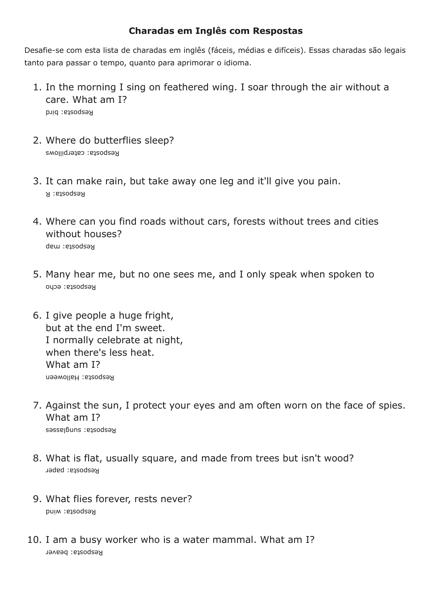## **Charadas em Inglês com Respostas**

Desafie-se com esta lista de charadas em inglês (fáceis, médias e difíceis). Essas charadas são legais tanto para passar o tempo, quanto para aprimorar o idioma.

- 1. In the morning I sing on feathered wing. I soar through the air without a care. What am I? Resbosta: bird
- 2. Where do butterflies sleep? esposta: caterpillows R
- 3. It can make rain, but take away one leg and it'll give you pain. Resbosta: R
- 4. Where can you find roads without cars, forests without trees and cities without houses? esposta: map R
- 5. Many hear me, but no one sees me, and I only speak when spoken to esposta: echo R
- 6. I give people a huge fright, but at the end I'm sweet. I normally celebrate at night, when there's less heat. What am I? Resbosta: Halloween
- 7. Against the sun, I protect your eyes and am often worn on the face of spies. What am I? esposta: sunglasses R
- 8. What is flat, usually square, and made from trees but isn't wood? esposta: paper R
- 9. What flies forever, rests never? esposta: wind R
- 10. I am a busy worker who is a water mammal. What am I? Resposta: beaver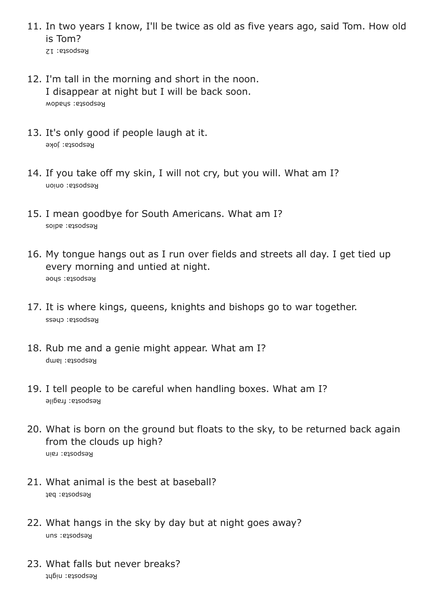- 11. In two years I know, I'll be twice as old as five years ago, said Tom. How old is Tom?
	- Reaboata: 12
- 12. I'm tall in the morning and short in the noon. I disappear at night but I will be back soon. Resbosta: shadow
- 13. It's only good if people laugh at it. Kesboarg: Joke
- 14. If you take off my skin, I will not cry, but you will. What am I? esposta: onion R
- 15. I mean goodbye for South Americans. What am I? Reaboara: agios
- 16. My tongue hangs out as I run over fields and streets all day. I get tied up every morning and untied at night. Resboarg: spoe
- 17. It is where kings, queens, knights and bishops go to war together. Resboata: cuess
- 18. Rub me and a genie might appear. What am I? Resboare: lamp
- 19. I tell people to be careful when handling boxes. What am I? Kesposta: fragile
- 20. What is born on the ground but floats to the sky, to be returned back again from the clouds up high? Resbosta: rain
- 21. What animal is the best at baseball? esposta: bat R
- 22. What hangs in the sky by day but at night goes away? Reaboata: snu
- 23. What falls but never breaks? Resbosta: night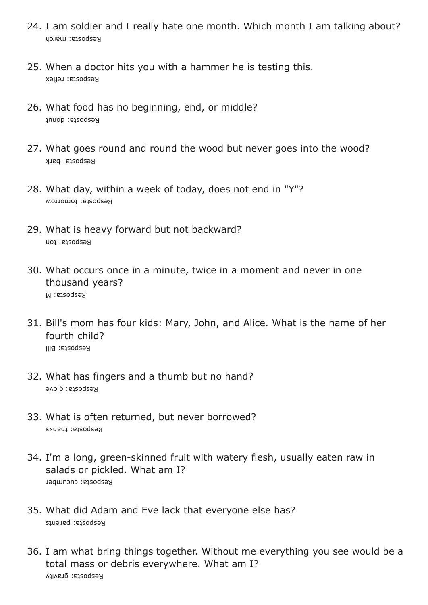- 24. I am soldier and I really hate one month. Which month I am talking about? Resposta: march
- 25. When a doctor hits you with a hammer he is testing this. esposta: reflex R
- 26. What food has no beginning, end, or middle? Resposta: donut
- 27. What goes round and round the wood but never goes into the wood? esposta: bark R
- 28. What day, within a week of today, does not end in "Y"? esposta: tomorrow R
- 29. What is heavy forward but not backward? esposta: ton R
- 30. What occurs once in a minute, twice in a moment and never in one thousand years? esposta: M R
- 31. Bill's mom has four kids: Mary, John, and Alice. What is the name of her fourth child? Kesboata: Bill
- 32. What has fingers and a thumb but no hand? Resboara: glove
- 33. What is often returned, but never borrowed? Resposta: thanks
- 34. I'm a long, green-skinned fruit with watery flesh, usually eaten raw in salads or pickled. What am I? esposta: cucumber R
- 35. What did Adam and Eve lack that everyone else has? esposta: parents R
- 36. I am what bring things together. Without me everything you see would be a total mass or debris everywhere. What am I? Resposta: gravity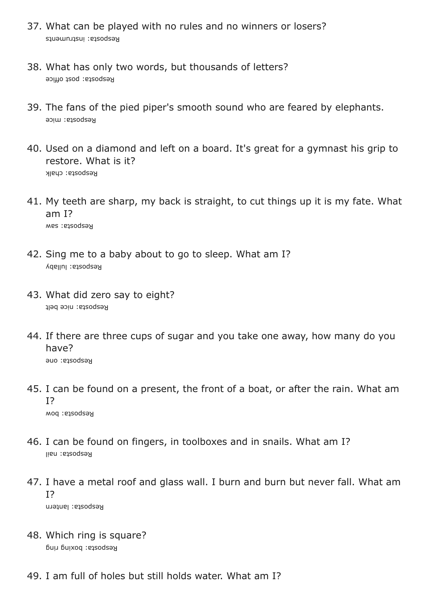- 37. What can be played with no rules and no winners or losers? esposta: instruments R
- 38. What has only two words, but thousands of letters? Resposta: post office
- 39. The fans of the pied piper's smooth sound who are feared by elephants. esposta: mice R
- 40. Used on a diamond and left on a board. It's great for a gymnast his grip to restore. What is it? esposta: chalk R
- 41. My teeth are sharp, my back is straight, to cut things up it is my fate. What am I? Kesposta: saw
- 42. Sing me to a baby about to go to sleep. What am I? y esposta: lullab R
- 43. What did zero say to eight? Resposta: nice belt
- 44. If there are three cups of sugar and you take one away, how many do you have? Resbosta: one
- 45. I can be found on a present, the front of a boat, or after the rain. What am I? esposta: bow R
- 46. I can be found on fingers, in toolboxes and in snails. What am I? Resbosta: nail
- 47. I have a metal roof and glass wall. I burn and burn but never fall. What am I?

Resposta: lantern

- 48. Which ring is square? Kesbozra: poxiud Liud
- 49. I am full of holes but still holds water. What am I?